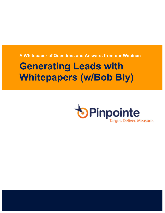**A Whitepaper of Questions and Answers from our Webinar:**

# **Generating Leads with Whitepapers (w/Bob Bly)**

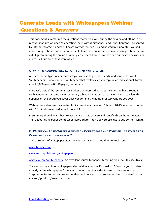# Generate Leads with Whitepapers Webinar Questions & Answers

This document summarizes the questions that were asked during the session and offline in the recent Pinpointe webinar: "Generating Leads with Whitepapers and Other Content," presented by Internet strategist and well-known copywriter, Bob Bly and hosted by Pinpointe. We had dozens of questions that we were not able to answer online, so if you posted a question that we didn't get to during the online session, please check here, as we've done our best to answer and address all questions that were asked.

#### **Q: WHAT IS RECOMMENDED LENGTH FOR MY WHITEPAPER?**

A: There are all types of content that you can use to generate leads, and various forms of 'whitepapers'. For a standard whitepaper that explains a given topic in an 'educational' format, about 3,000 words  $(8 - 10$  pages) is common.

A 'Buyer's Guide' that summarizes multiple vendors, ad perhaps includes the background in each vendor and accompanying summary tables – might be 10-20 pages. The actual length depends on the depth you cover each vendor and the number of top vendors you cover.

Webinars are also very successful. Typical webinars run about 1 hour – 40-45 minutes of content with 15 minutes reserved after for A and A.

In summary though  $-$  it is best to use a style that is concise and specific throughout the paper. Think about using bullet points when appropriate – don't be verbose just to add content length.

# **Q: WHERE CAN I FIND WHITEPAPERS FROM COMPETITORS AND POTENTIAL PARTNERS FOR COMPARISON AND 'INSPIRATION'?**

There are tons of whitepaper sites and sources. Here are two that are tech-centric:

www.bitpipe.com

#### www.techrepublic.com/whitepapers

www.cio.com/white-papers - An excellent source for papers targeting high-level IT executives.

You can also search for whitepapers sites within your specific vertical. Of course you can also directly access whitepapers from your competitors sites  $-$  this is often a great source of 'inspiration' for topics, and to best understand how you can present an 'alternate view' of the market / product / relevant issues.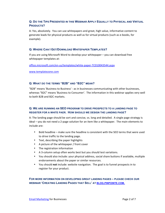# **Q: DO THE TIPS PRESENTED IN THIS WEBINAR APPLY EQUALLY TO PHYSICAL AND VIRTUAL PRODUCTS?**

A: Yes, absolutely. You can use whitepapers and great, high value, informative content to generate leads for physical products as well as for virtual products (such as e-books, for example).

#### **Q: WHERE CAN I GET/DOWNLOAD WHITEPAPER TEMPLATES?**

If you are using Microsoft Word to develop your whitepaper – you can download free whitepaper templates at:

office.microsoft.com/en-us/templates/white-paper-TC010043544.aspx

www.templatezone.com

#### **Q: WHAT DO THE TERMS "B2B" AND "B2C" MEAN?**

"B2B" means 'Business to Business' - as in businesses communicating with other businesses, whereas "B2C" means 'Business to Consumer'. The information in this webinar applies very well to both B2B and B2C markets.

# **Q: WE ARE RUNNING AN SEO PROGRAM TO DRIVE PROSPECTS TO A LANDING PAGE TO REGISTER FOR A WHITE PAER. HOW SHOULD WE DESIGN THE LANDING PAGE?**

A: The landing page should be sort and concise, vs. long and detailed. A single page strategy is ideal – you do not need a 2-page solution for an item like a whitepaper. The main elements to include are:

- Bold headline make sure the headline is consistent with the SEO terms that were used to drive traffic to the landing page.
- Text, describing the paper highlights
- A picture of the whitepaper / front cover
- The registration information
- A 3-column setup often works best but you should test variations.
- You should also include: your physical address, social share buttons if available, multiple endorsements about the paper or similar resources.
- You should not include: website navigation. The goal is to funnel prospects in to register for your product.

**FOR MORE INFORMATION ON DEVELOPING GREAT LANDING PAGES – PLEASE CHECK OUR WEBINAR 'CREATING LANDING PAGES THAT SELL' AT BLOG.PINPOINTE.COM.**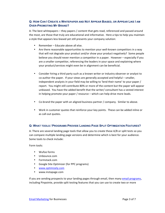# **Q: HOW CAN I CREATE A WHITEPAPER AND NOT APPEAR BIASED, OR APPEAR LIKE I AM OVER-PROMOTING MY BRAND?**

A: The best whitepapers – they papers / content that gets read, referenced and passed around the most, are those that truly are educational and informative. Here a tips to help you maintain a style that appears less biased yet still presents your company solution:

- Remember Educate above all else.
- Are there reasonable opportunities to mention your well-known competitors in a way that will not degrade your product and/or show your product negatively? Some people believe you should never mention a competitor in a paper. However – especially if you are a smaller competitor, referencing the leaders in your space and explaining where your product/services might even be in alignment can be beneficial.
- Consider hiring a third party such as a known writer or industry observer or analyst to co-author the paper. If your views are generally accepted and helpful – smaller, independent analysts in your field may be willing to 'lend their name' to your paper / report. You might still contribute 80% or more of the content but the paper will appear unbiased. You have the added benefit that the writer/ consultant has a vested interest in helping promote your paper / resource – which can help drive more leads.
- Co-brand the paper with an aligned business partner / company. Similar to above.
- Work in customer quotes that reinforce your key points. These can be added inline or as call-out quotes.

# **Q: WHAT TOOLS / PROGRAMS PROVIDE LANDING PAGE SPLIT OPTIMIZATION FEATURES?**

A: There are several landing page tools that allow you to create these A/B or split tests so you can compare multiple landing page versions and determine which is best for your audience. Some tools to check include:

Form tools:

- Wufoo forms
- Unbounce.com
- Formstack.com
- Google Site Optimizer (for PPC programs)
- www.optimizely.com
- www.instapage.com

If you are sending prospects to your landing pages through email, then many email programs, including Pinpointe, provide split testing features that you can use to create two or more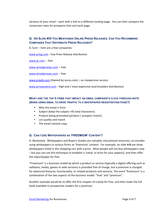versions of your email – each with a link to a different landing page. You can then compare the conversion rates for prospects that visit each page.

# **Q: ON SLIDE #55 YOU MENTIONED ONLINE PRESS RELEASES. CAN YOU RECOMMEND COMPANIES THAT DISTRIBUTE PRESS RELEASES?**

A: Sure – here are a few companies:

www.prlog.com - free Press Release distribution

www.pr.com -- free

www.wiredprnews.com -- free

www.wiredprnews.com -- free

www.prweb.com (Owned by vocus.com) – an inexpensive service.

www.prnewswire.com - High end / most expensive (and broadest distribution)

### **WHAT ARE THE TOP 5 ITEMS THAT IMPACT AN EMAIL CAMPAIGN'S CLICK-THROUGH-RATE (WHEN USING EMAIL TO DRIVE TRAFFIC TO A WHITEPAPER REGISTRATION PAGE?)**

- Who the email is from
- Subject (keep the subject <45 total characters)
- Product being promoted (product / prospect match)
- List quality and match
- The email content copy

#### **Q: CAN I USE WHITEPAPERS AS 'FREEMIUM' CONTENT?**

A: Absolutely. Whitepapers and Buyer's Guides are valuable, educational resources, so consider using whitepapers in various forms as 'freemium' content. For example, on slide #48 we show whitepapers listed in the shopping cart with a price. Most people will not buy whitepapers now – but you can use this technique to establish a 'value' or price for your paper(s), and then offer the report/paper for free.

"Freemium" is a business model by which a product or service (typically a digital offering such as software, media, games or web services) is provided free of charge, but a premium is charged for advanced features, functionality, or related products and services. The word "freemium" is a combination of the two aspects of the business model: "free" and "premium".

Another example would be to offer the first chapter of a book for free, and then make the full book available to prospective readers for a premium.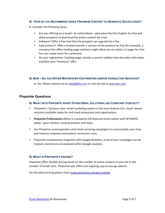#### **Q: HOW DO YOU RECOMMEND USING FREEMIUM CONTENT TO GENERATE SALES LEADS?**

A: Consider the following ideas:

- Are you offering an e-book? As noted above give away the first chapter for free and allow prospects to download the entire content for a fee.
- Software? Offer a free trial that the prospect can upgrade for a fee.
- SaaS product? Offer a limited function / version of the product for free (for example, a company that offers landing page solutions might allow you to create 1-2 pages for free. You can create more for a premium.
- On your registration / landing page, include a content sidebar that describes and makes available your 'freemium' offer.

#### **Q: BOB – DO YOU OFFER WHITEPAPER COPYWRITING AND/OR CONSULTING SERVICES?**

A: Yes. Please contact me at rwbly@bly.com or visit my site at www.bly.com.

# **Pinpointe Questions**

#### **Q: WHAT SETS PINPOINTE APART OTHER EMAIL SOLUTIONS LIKE CONSTANT CONTACT?**

- Pinpointe's 'business class' email marketing system is the most feature-rich, cloud –based solutions available today for mid-sized enterprises and organizations.
- Pinpointe Professional edition is a powerful full-featured email system with WYSIWYG editor, spam checker, email previewer and more.
- Use Pinpointe autoresponders and email nurturing campaigns to nurture leads over time, and improve response and product conversion rates.
- Pinpointe transparently integrates with Google Analytics, so all of your campaigns can be tracked, monitored and analyzed within Google analytics.

#### **Q: WHAT IS PINPOINTE'S PRICING?**

Pinpointe offers flexible pricing based on the number of active contacts in your list or the number of emails sent. Pinpointe also offers non-expiring, pay-as-you-go options.

For the latest pricing please check www.pinpointe.com/get-started.